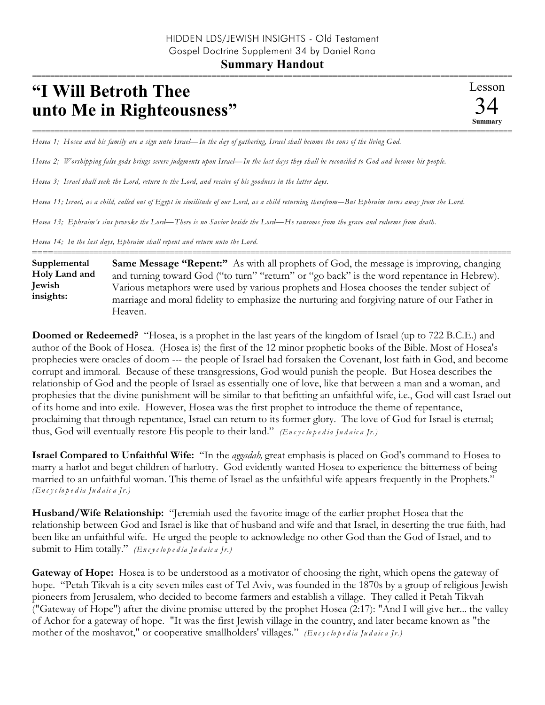## **"I Will Betroth Thee unto Me in Righteousness"**

=========================================================================================================== *Hosea 1; Hosea and his family are a sign unto Israel—In the day of gathering, Israel shall become the sons of the living God.* 

*Hosea 2; Worshipping false gods brings severe judgments upon Israel—In the last days they shall be reconciled to God and become his people.*

*Hosea 3; Israel shall seek the Lord, return to the Lord, and receive of his goodness in the latter days.*

*Hosea 11; Israel, as a child, called out of Egypt in similitude of our Lord, as a child returning therefrom-–But Ephraim turns away from the Lord.*

*Hosea 13; Ephraim's sins provoke the Lord—There is no Savior beside the Lord—He ransoms from the grave and redeems from death.* 

*Hosea 14; In the last days, Ephraim shall repent and return unto the Lord.*

========================================================================================================== **Same Message "Repent:"** As with all prophets of God, the message is improving, changing and turning toward God ("to turn" "return" or "go back" is the word repentance in Hebrew). Various metaphors were used by various prophets and Hosea chooses the tender subject of marriage and moral fidelity to emphasize the nurturing and forgiving nature of our Father in Heaven. **Supplemental Holy Land and Jewish insights:**

**Doomed or Redeemed?** "Hosea, is a prophet in the last years of the kingdom of Israel (up to 722 B.C.E.) and author of the Book of Hosea. (Hosea is) the first of the 12 minor prophetic books of the Bible. Most of Hosea's prophecies were oracles of doom --- the people of Israel had forsaken the Covenant, lost faith in God, and become corrupt and immoral. Because of these transgressions, God would punish the people. But Hosea describes the relationship of God and the people of Israel as essentially one of love, like that between a man and a woman, and prophesies that the divine punishment will be similar to that befitting an unfaithful wife, i.e., God will cast Israel out of its home and into exile. However, Hosea was the first prophet to introduce the theme of repentance, proclaiming that through repentance, Israel can return to its former glory. The love of God for Israel is eternal; thus, God will eventually restore His people to their land." *(En c y c lo p e d ia Ju d a ic a Jr.)*

**Israel Compared to Unfaithful Wife:** "In the *aggadah,* great emphasis is placed on God's command to Hosea to marry a harlot and beget children of harlotry. God evidently wanted Hosea to experience the bitterness of being married to an unfaithful woman. This theme of Israel as the unfaithful wife appears frequently in the Prophets." *(En c y c lo p e d ia Ju d a ic a Jr.)*

**Husband/Wife Relationship:** "Jeremiah used the favorite image of the earlier prophet Hosea that the relationship between God and Israel is like that of husband and wife and that Israel, in deserting the true faith, had been like an unfaithful wife. He urged the people to acknowledge no other God than the God of Israel, and to submit to Him totally." *(En c y c lo p e d ia Ju d a ic a Jr.)*

**Gateway of Hope:** Hosea is to be understood as a motivator of choosing the right, which opens the gateway of hope. "Petah Tikvah is a city seven miles east of Tel Aviv, was founded in the 1870s by a group of religious Jewish pioneers from Jerusalem, who decided to become farmers and establish a village. They called it Petah Tikvah ("Gateway of Hope") after the divine promise uttered by the prophet Hosea (2:17): "And I will give her... the valley of Achor for a gateway of hope. "It was the first Jewish village in the country, and later became known as "the mother of the moshavot," or cooperative smallholders' villages." *(En c y c lo p e d ia Ju d a ic a Jr.)*